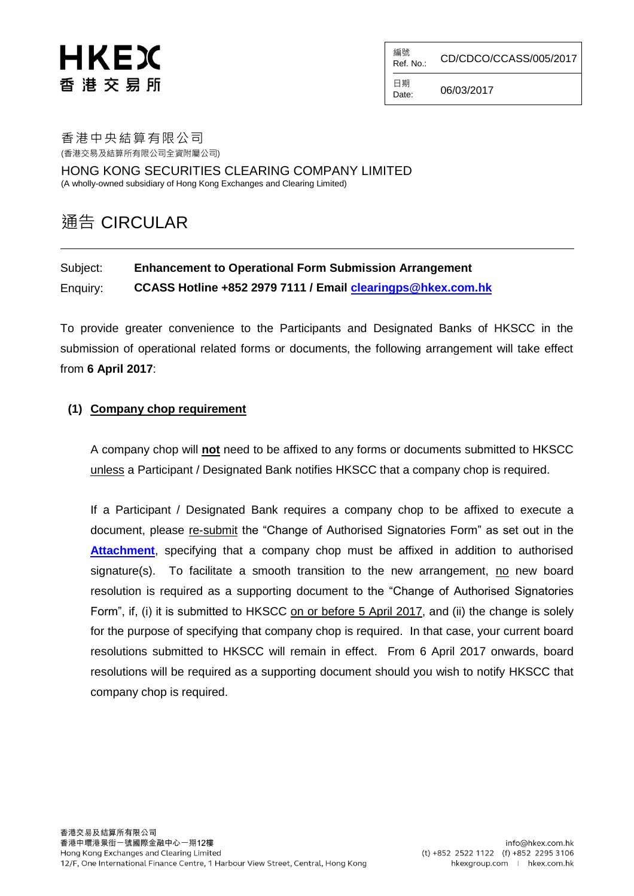# HKEX 香 港 交 易 所

編號<br>Ref. No.: CD/CDCO/CCASS/005/2017

 $D_{\text{Date}}^{L^{+}}$  06/03/2017

日期

#### 香港中央結算有限公司 (香港交易及結算所有限公司全資附屬公司)

HONG KONG SECURITIES CLEARING COMPANY LIMITED (A wholly-owned subsidiary of Hong Kong Exchanges and Clearing Limited)

# 通告 CIRCULAR

# Subject: **Enhancement to Operational Form Submission Arrangement**  Enquiry: **CCASS Hotline +852 2979 7111 / Email [clearingps@hkex.com.hk](mailto:clearingps@hkex.com.hk)**

To provide greater convenience to the Participants and Designated Banks of HKSCC in the submission of operational related forms or documents, the following arrangement will take effect from **6 April 2017**:

## **(1) Company chop requirement**

A company chop will **not** need to be affixed to any forms or documents submitted to HKSCC unless a Participant / Designated Bank notifies HKSCC that a company chop is required.

If a Participant / Designated Bank requires a company chop to be affixed to execute a document, please re-submit the "Change of Authorised Signatories Form" as set out in the **[Attachment](https://www.hkex.com.hk/eng/market/clr/secclr/forms_hkscc/Documents/ChgAuthSignaturesForm.pdf)**, specifying that a company chop must be affixed in addition to authorised signature(s). To facilitate a smooth transition to the new arrangement, no new board resolution is required as a supporting document to the "Change of Authorised Signatories Form", if, (i) it is submitted to HKSCC on or before 5 April 2017, and (ii) the change is solely for the purpose of specifying that company chop is required. In that case, your current board resolutions submitted to HKSCC will remain in effect. From 6 April 2017 onwards, board resolutions will be required as a supporting document should you wish to notify HKSCC that company chop is required.